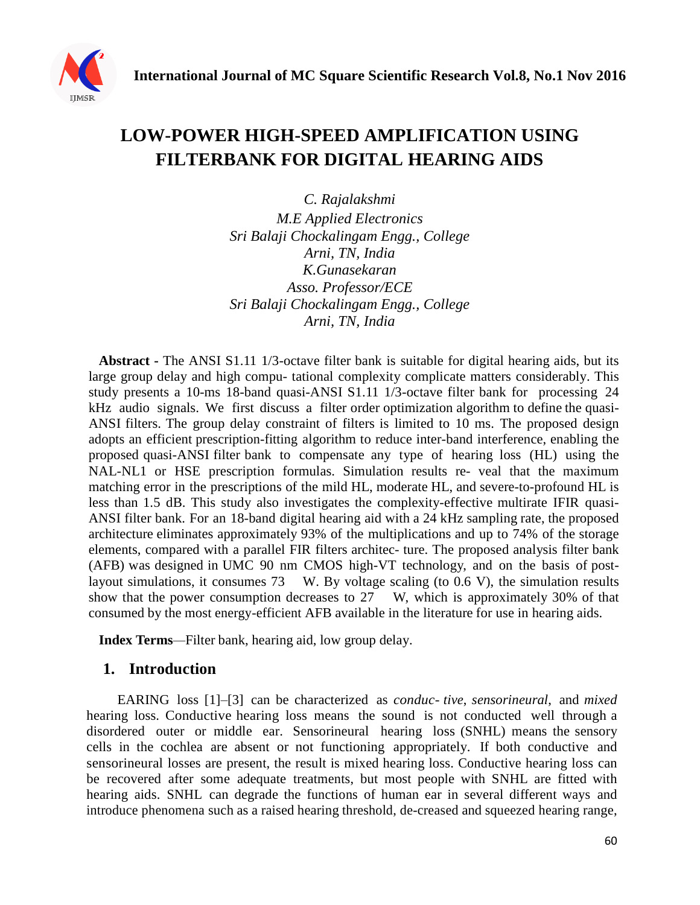

# **LOW-POWER HIGH-SPEED AMPLIFICATION USING FILTERBANK FOR DIGITAL HEARING AIDS**

*C. Rajalakshmi M.E Applied Electronics Sri Balaji Chockalingam Engg., College Arni, TN, India K.Gunasekaran Asso. Professor/ECE Sri Balaji Chockalingam Engg., College Arni, TN, India*

**Abstract -** The ANSI S1.11 1/3-octave filter bank is suitable for digital hearing aids, but its large group delay and high compu- tational complexity complicate matters considerably. This study presents a 10-ms 18-band quasi-ANSI S1.11 1/3-octave filter bank for processing 24 kHz audio signals. We first discuss a filter order optimization algorithm to define the quasi-ANSI filters. The group delay constraint of filters is limited to 10 ms. The proposed design adopts an efficient prescription-fitting algorithm to reduce inter-band interference, enabling the proposed quasi-ANSI filter bank to compensate any type of hearing loss (HL) using the NAL-NL1 or HSE prescription formulas. Simulation results re- veal that the maximum matching error in the prescriptions of the mild HL, moderate HL, and severe-to-profound HL is less than 1.5 dB. This study also investigates the complexity-effective multirate IFIR quasi-ANSI filter bank. For an 18-band digital hearing aid with a 24 kHz sampling rate, the proposed architecture eliminates approximately 93% of the multiplications and up to 74% of the storage elements, compared with a parallel FIR filters architec- ture. The proposed analysis filter bank (AFB) was designed in UMC 90 nm CMOS high-VT technology, and on the basis of postlayout simulations, it consumes 73 W. By voltage scaling (to 0.6 V), the simulation results show that the power consumption decreases to 27 W, which is approximately 30% of that consumed by the most energy-efficient AFB available in the literature for use in hearing aids.

**Index Terms***—*Filter bank, hearing aid, low group delay.

## **1. Introduction**

EARING loss [1]–[3] can be characterized as *conduc- tive*, *sensorineural*, and *mixed* hearing loss. Conductive hearing loss means the sound is not conducted well through a disordered outer or middle ear. Sensorineural hearing loss (SNHL) means the sensory cells in the cochlea are absent or not functioning appropriately. If both conductive and sensorineural losses are present, the result is mixed hearing loss. Conductive hearing loss can be recovered after some adequate treatments, but most people with SNHL are fitted with hearing aids. SNHL can degrade the functions of human ear in several different ways and introduce phenomena such as a raised hearing threshold, de-creased and squeezed hearing range,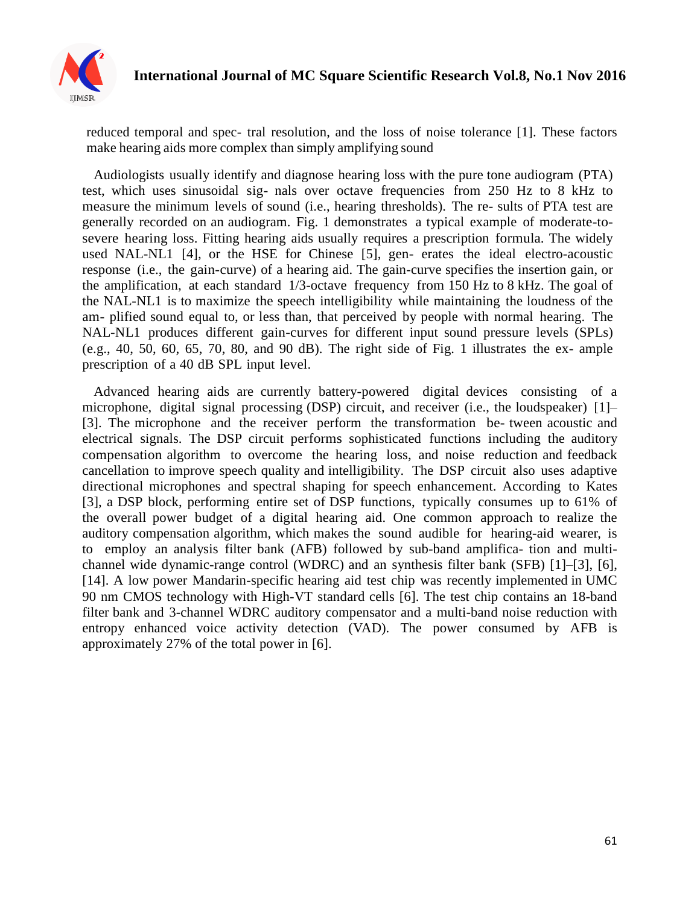

reduced temporal and spec- tral resolution, and the loss of noise tolerance [1]. These factors make hearing aids more complex than simply amplifying sound

Audiologists usually identify and diagnose hearing loss with the pure tone audiogram (PTA) test, which uses sinusoidal sig- nals over octave frequencies from 250 Hz to 8 kHz to measure the minimum levels of sound (i.e., hearing thresholds). The re- sults of PTA test are generally recorded on an audiogram. Fig. 1 demonstrates a typical example of moderate-tosevere hearing loss. Fitting hearing aids usually requires a prescription formula. The widely used NAL-NL1 [4], or the HSE for Chinese [5], gen- erates the ideal electro-acoustic response (i.e., the gain-curve) of a hearing aid. The gain-curve specifies the insertion gain, or the amplification, at each standard 1/3-octave frequency from 150 Hz to 8 kHz. The goal of the NAL-NL1 is to maximize the speech intelligibility while maintaining the loudness of the am- plified sound equal to, or less than, that perceived by people with normal hearing. The NAL-NL1 produces different gain-curves for different input sound pressure levels (SPLs) (e.g., 40, 50, 60, 65, 70, 80, and 90 dB). The right side of Fig. 1 illustrates the ex- ample prescription of a 40 dB SPL input level.

Advanced hearing aids are currently battery-powered digital devices consisting of a microphone, digital signal processing (DSP) circuit, and receiver (i.e., the loudspeaker) [1]– [3]. The microphone and the receiver perform the transformation be- tween acoustic and electrical signals. The DSP circuit performs sophisticated functions including the auditory compensation algorithm to overcome the hearing loss, and noise reduction and feedback cancellation to improve speech quality and intelligibility. The DSP circuit also uses adaptive directional microphones and spectral shaping for speech enhancement. According to Kates [3], a DSP block, performing entire set of DSP functions, typically consumes up to 61% of the overall power budget of a digital hearing aid. One common approach to realize the auditory compensation algorithm, which makes the sound audible for hearing-aid wearer, is to employ an analysis filter bank (AFB) followed by sub-band amplifica- tion and multichannel wide dynamic-range control (WDRC) and an synthesis filter bank (SFB) [1]–[3], [6], [14]. A low power Mandarin-specific hearing aid test chip was recently implemented in UMC 90 nm CMOS technology with High-VT standard cells [6]. The test chip contains an 18-band filter bank and 3-channel WDRC auditory compensator and a multi-band noise reduction with entropy enhanced voice activity detection (VAD). The power consumed by AFB is approximately 27% of the total power in [6].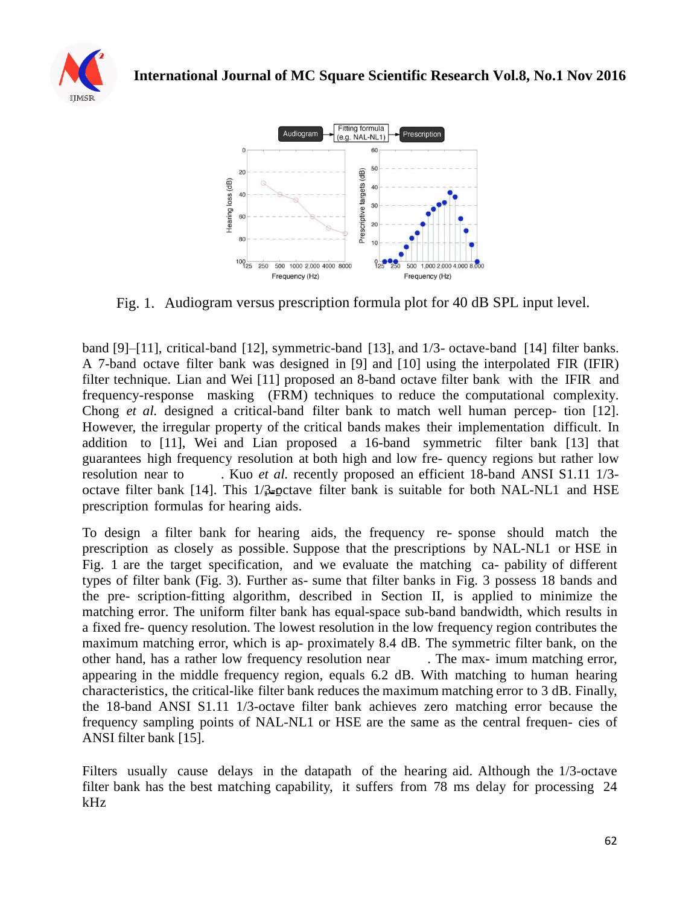



Fig. 1. Audiogram versus prescription formula plot for 40 dB SPL input level.

band [9]–[11], critical-band [12], symmetric-band [13], and 1/3- octave-band [14] filter banks. A 7-band octave filter bank was designed in [9] and [10] using the interpolated FIR (IFIR) filter technique. Lian and Wei [11] proposed an 8-band octave filter bank with the IFIR and frequency-response masking (FRM) techniques to reduce the computational complexity. Chong *et al.* designed a critical-band filter bank to match well human percep- tion [12]. However, the irregular property of the critical bands makes their implementation difficult. In addition to [11], Wei and Lian proposed a 16-band symmetric filter bank [13] that guarantees high frequency resolution at both high and low fre- quency regions but rather low resolution near to . Kuo *et al.* recently proposed an efficient 18-band ANSI S1.11 1/3 octave filter bank [14]. This  $1/\frac{3}{2}$ -octave filter bank is suitable for both NAL-NL1 and HSE prescription formulas for hearing aids.

To design a filter bank for hearing aids, the frequency re- sponse should match the prescription as closely as possible. Suppose that the prescriptions by NAL-NL1 or HSE in Fig. 1 are the target specification, and we evaluate the matching ca- pability of different types of filter bank (Fig. 3). Further as- sume that filter banks in Fig. 3 possess 18 bands and the pre- scription-fitting algorithm, described in Section II, is applied to minimize the matching error. The uniform filter bank has equal-space sub-band bandwidth, which results in a fixed fre- quency resolution. The lowest resolution in the low frequency region contributes the maximum matching error, which is ap- proximately 8.4 dB. The symmetric filter bank, on the other hand, has a rather low frequency resolution near . The max- imum matching error, appearing in the middle frequency region, equals 6.2 dB. With matching to human hearing characteristics, the critical-like filter bank reduces the maximum matching error to 3 dB. Finally, the 18-band ANSI S1.11 1/3-octave filter bank achieves zero matching error because the frequency sampling points of NAL-NL1 or HSE are the same as the central frequen- cies of ANSI filter bank [15].

Filters usually cause delays in the datapath of the hearing aid. Although the 1/3-octave filter bank has the best matching capability, it suffers from 78 ms delay for processing 24 kHz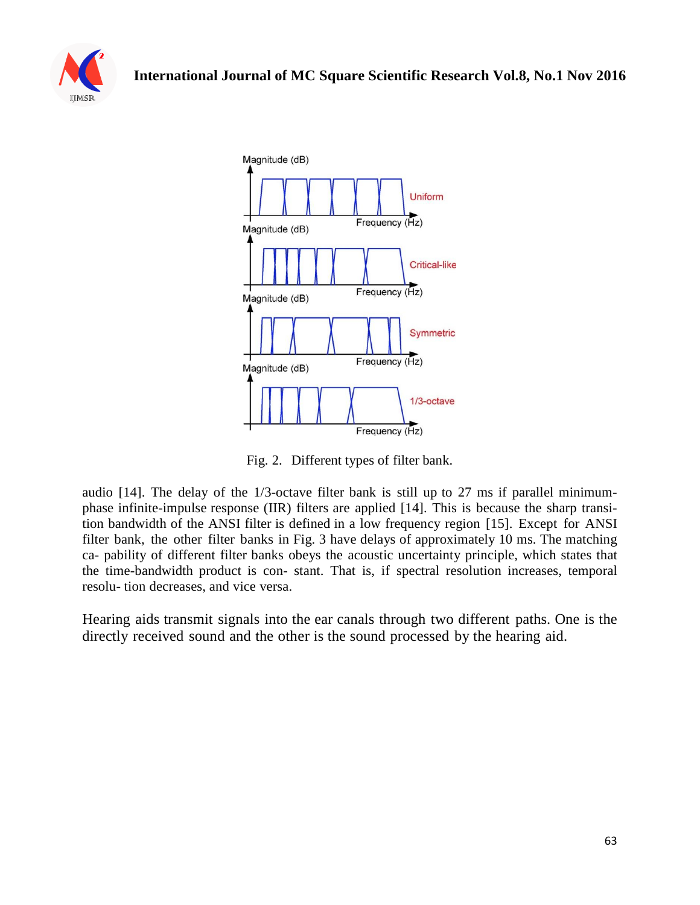



Fig. 2. Different types of filter bank.

audio [14]. The delay of the 1/3-octave filter bank is still up to 27 ms if parallel minimumphase infinite-impulse response (IIR) filters are applied [14]. This is because the sharp transition bandwidth of the ANSI filter is defined in a low frequency region [15]. Except for ANSI filter bank, the other filter banks in Fig. 3 have delays of approximately 10 ms. The matching ca- pability of different filter banks obeys the acoustic uncertainty principle, which states that the time-bandwidth product is con- stant. That is, if spectral resolution increases, temporal resolu- tion decreases, and vice versa.

Hearing aids transmit signals into the ear canals through two different paths. One is the directly received sound and the other is the sound processed by the hearing aid.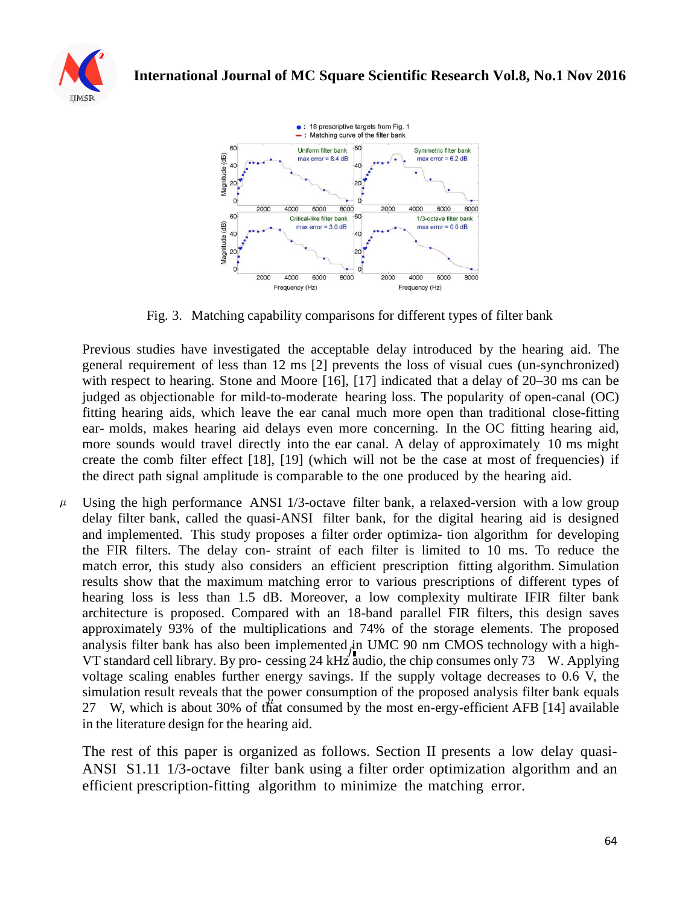



Fig. 3. Matching capability comparisons for different types of filter bank

Previous studies have investigated the acceptable delay introduced by the hearing aid. The general requirement of less than 12 ms [2] prevents the loss of visual cues (un-synchronized) with respect to hearing. Stone and Moore [16], [17] indicated that a delay of 20–30 ms can be judged as objectionable for mild-to-moderate hearing loss. The popularity of open-canal (OC) fitting hearing aids, which leave the ear canal much more open than traditional close-fitting ear- molds, makes hearing aid delays even more concerning. In the OC fitting hearing aid, more sounds would travel directly into the ear canal. A delay of approximately 10 ms might create the comb filter effect [18], [19] (which will not be the case at most of frequencies) if the direct path signal amplitude is comparable to the one produced by the hearing aid.

Using the high performance ANSI 1/3-octave filter bank, a relaxed-version with a low group  $\mu$ delay filter bank, called the quasi-ANSI filter bank, for the digital hearing aid is designed and implemented. This study proposes a filter order optimiza- tion algorithm for developing the FIR filters. The delay con- straint of each filter is limited to 10 ms. To reduce the match error, this study also considers an efficient prescription fitting algorithm. Simulation results show that the maximum matching error to various prescriptions of different types of hearing loss is less than 1.5 dB. Moreover, a low complexity multirate IFIR filter bank architecture is proposed. Compared with an 18-band parallel FIR filters, this design saves approximately 93% of the multiplications and 74% of the storage elements. The proposed analysis filter bank has also been implemented in UMC 90 nm CMOS technology with a high-VT standard cell library. By pro- cessing 24 kHz audio, the chip consumes only 73 W. Applying voltage scaling enables further energy savings. If the supply voltage decreases to 0.6 V, the simulation result reveals that the power consumption of the proposed analysis filter bank equals 27 W, which is about 30% of that consumed by the most en-ergy-efficient AFB [14] available in the literature design for the hearing aid.

The rest of this paper is organized as follows. Section II presents a low delay quasi-ANSI S1.11 1/3-octave filter bank using a filter order optimization algorithm and an efficient prescription-fitting algorithm to minimize the matching error.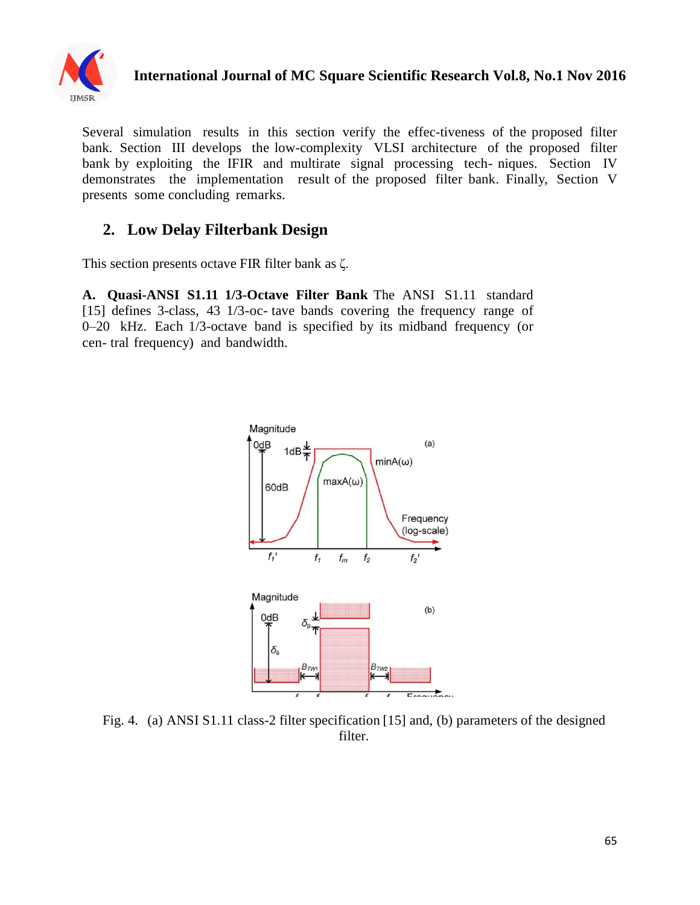

# **International Journal of MC Square Scientific Research Vol.8, No.1 Nov 2016**

Several simulation results in this section verify the effec-tiveness of the proposed filter bank. Section III develops the low-complexity VLSI architecture of the proposed filter bank by exploiting the IFIR and multirate signal processing tech- niques. Section IV demonstrates the implementation result of the proposed filter bank. Finally, Section V presents some concluding remarks.

## **2. Low Delay Filterbank Design**

This section presents octave FIR filter bank as ζ.

**A. Quasi-ANSI S1.11 1/3-Octave Filter Bank** The ANSI S1.11 standard [15] defines 3-class, 43 1/3-oc- tave bands covering the frequency range of 0–20 kHz. Each 1/3-octave band is specified by its midband frequency (or cen- tral frequency) and bandwidth.



Fig. 4. (a) ANSI S1.11 class-2 filter specification [15] and, (b) parameters of the designed filter.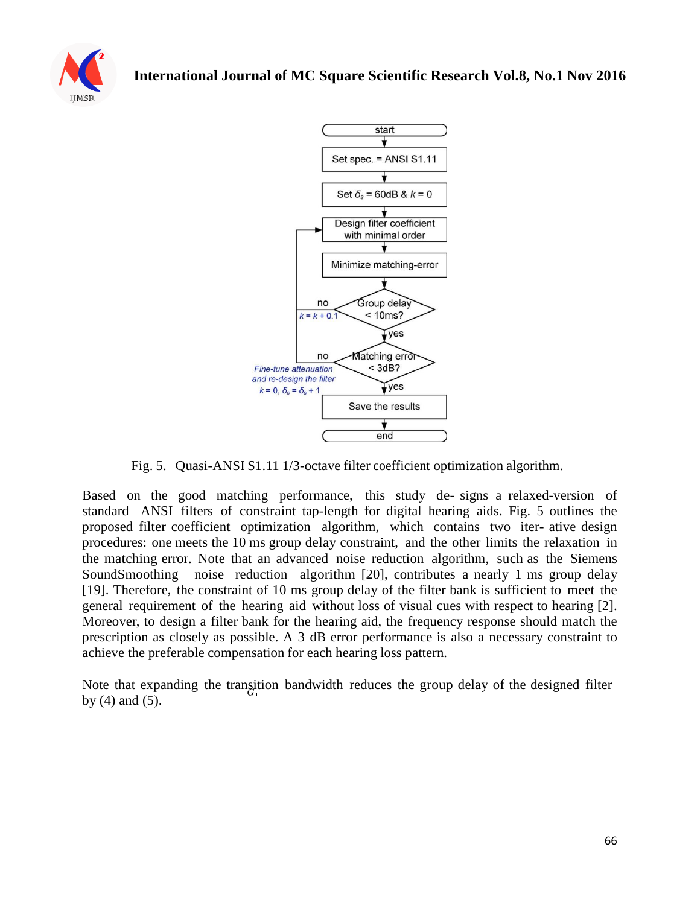



Fig. 5. Quasi-ANSI S1.11 1/3-octave filter coefficient optimization algorithm.

Based on the good matching performance, this study de- signs a relaxed-version of standard ANSI filters of constraint tap-length for digital hearing aids. Fig. 5 outlines the proposed filter coefficient optimization algorithm, which contains two iter- ative design procedures: one meets the 10 ms group delay constraint, and the other limits the relaxation in the matching error. Note that an advanced noise reduction algorithm, such as the Siemens SoundSmoothing noise reduction algorithm [20], contributes a nearly 1 ms group delay [19]. Therefore, the constraint of 10 ms group delay of the filter bank is sufficient to meet the general requirement of the hearing aid without loss of visual cues with respect to hearing [2]. Moreover, to design a filter bank for the hearing aid, the frequency response should match the prescription as closely as possible. A 3 dB error performance is also a necessary constraint to achieve the preferable compensation for each hearing loss pattern.

Note that expanding the transition bandwidth reduces the group delay of the designed filter by (4) and (5).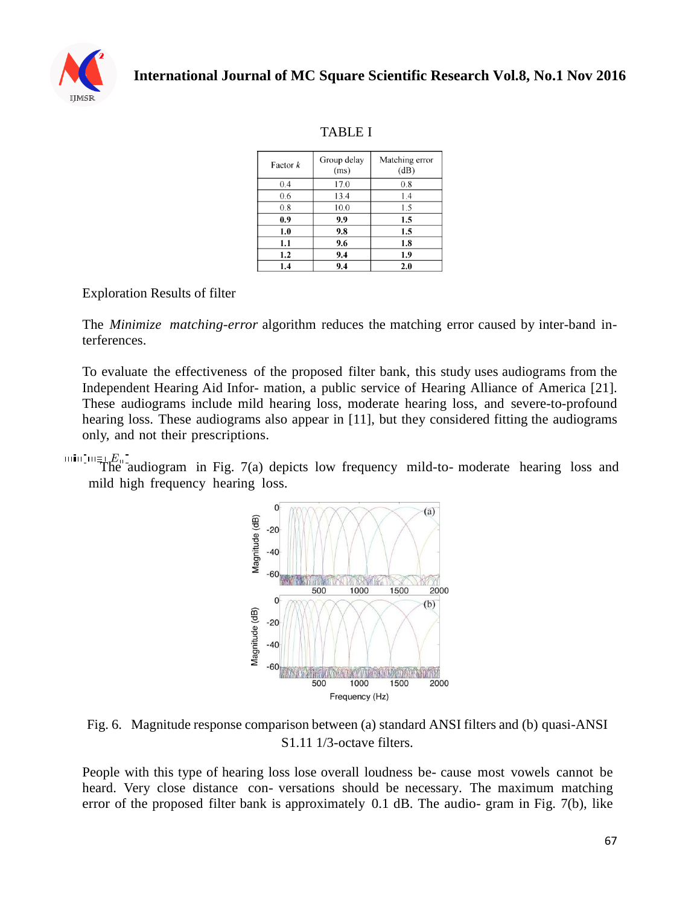

## TABLE I

| Factor $k$ | Group delay<br>(ms) | Matching error<br>(dB) |
|------------|---------------------|------------------------|
| 0.4        | 17.0                | 0.8                    |
| 0.6        | 13.4                | 1.4                    |
| 0.8        | 10.0                | 1.5                    |
| 0.9        | 9.9                 | 1.5                    |
| 1.0        | 9.8                 | 1.5                    |
| 1.1        | 9.6                 | 1.8                    |
| 1.2        | 9.4                 | 1.9                    |
| 1.4        | 9.4                 | 2.0                    |

## Exploration Results of filter

The *Minimize matching-error* algorithm reduces the matching error caused by inter-band interferences.

To evaluate the effectiveness of the proposed filter bank, this study uses audiograms from the Independent Hearing Aid Infor- mation, a public service of Hearing Alliance of America [21]. These audiograms include mild hearing loss, moderate hearing loss, and severe-to-profound hearing loss. These audiograms also appear in [11], but they considered fitting the audiograms only, and not their prescriptions.

 $\overline{\text{min}_{1}}$   $E_{\text{min}}$  and  $E_{\text{max}}$  and  $\overline{\text{max}}$  and  $\overline{\text{max}}$  and  $\overline{\text{max}}$  and  $\overline{\text{max}}$  and  $\overline{\text{max}}$  and  $\overline{\text{max}}$  and  $\overline{\text{max}}$  and  $\overline{\text{max}}$  and  $\overline{\text{max}}$  and  $\overline{\text{max}}$  and  $\overline{\text{max}}$  and  $\overline{\text{max}}$  and mild high frequency hearing loss.



Fig. 6. Magnitude response comparison between (a) standard ANSI filters and (b) quasi-ANSI S1.11 1/3-octave filters.

People with this type of hearing loss lose overall loudness be- cause most vowels cannot be heard. Very close distance con- versations should be necessary. The maximum matching error of the proposed filter bank is approximately 0.1 dB. The audio- gram in Fig. 7(b), like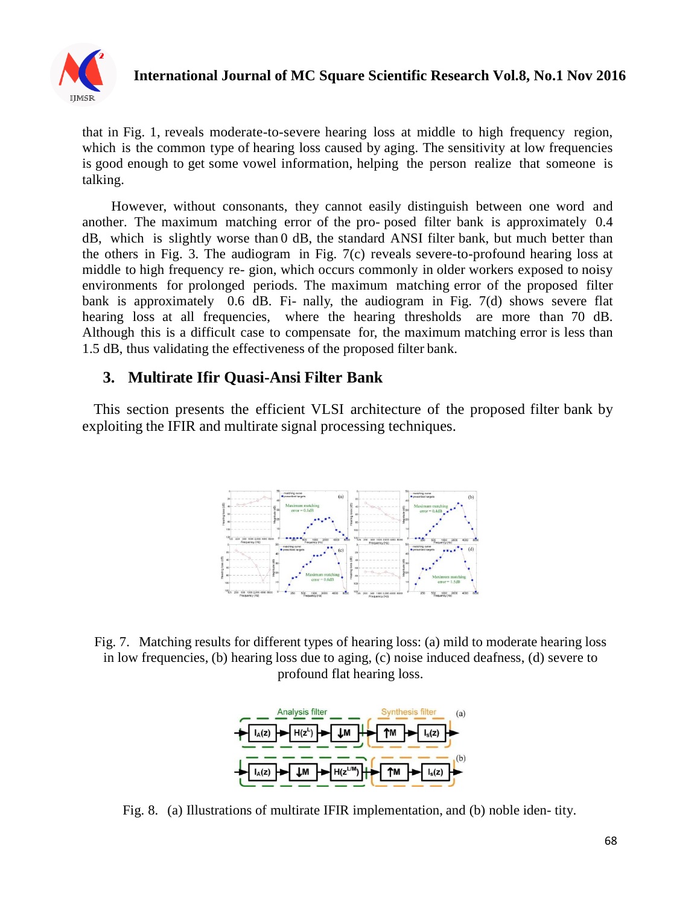

## **International Journal of MC Square Scientific Research Vol.8, No.1 Nov 2016**

that in Fig. 1, reveals moderate-to-severe hearing loss at middle to high frequency region, which is the common type of hearing loss caused by aging. The sensitivity at low frequencies is good enough to get some vowel information, helping the person realize that someone is talking.

However, without consonants, they cannot easily distinguish between one word and another. The maximum matching error of the pro- posed filter bank is approximately 0.4 dB, which is slightly worse than 0 dB, the standard ANSI filter bank, but much better than the others in Fig. 3. The audiogram in Fig. 7(c) reveals severe-to-profound hearing loss at middle to high frequency re- gion, which occurs commonly in older workers exposed to noisy environments for prolonged periods. The maximum matching error of the proposed filter bank is approximately 0.6 dB. Fi- nally, the audiogram in Fig. 7(d) shows severe flat hearing loss at all frequencies, where the hearing thresholds are more than 70 dB. Although this is a difficult case to compensate for, the maximum matching error is less than 1.5 dB, thus validating the effectiveness of the proposed filter bank.

#### **3. Multirate Ifir Quasi-Ansi Filter Bank**

This section presents the efficient VLSI architecture of the proposed filter bank by exploiting the IFIR and multirate signal processing techniques.



Fig. 7. Matching results for different types of hearing loss: (a) mild to moderate hearing loss in low frequencies, (b) hearing loss due to aging, (c) noise induced deafness, (d) severe to profound flat hearing loss.



Fig. 8. (a) Illustrations of multirate IFIR implementation, and (b) noble iden- tity.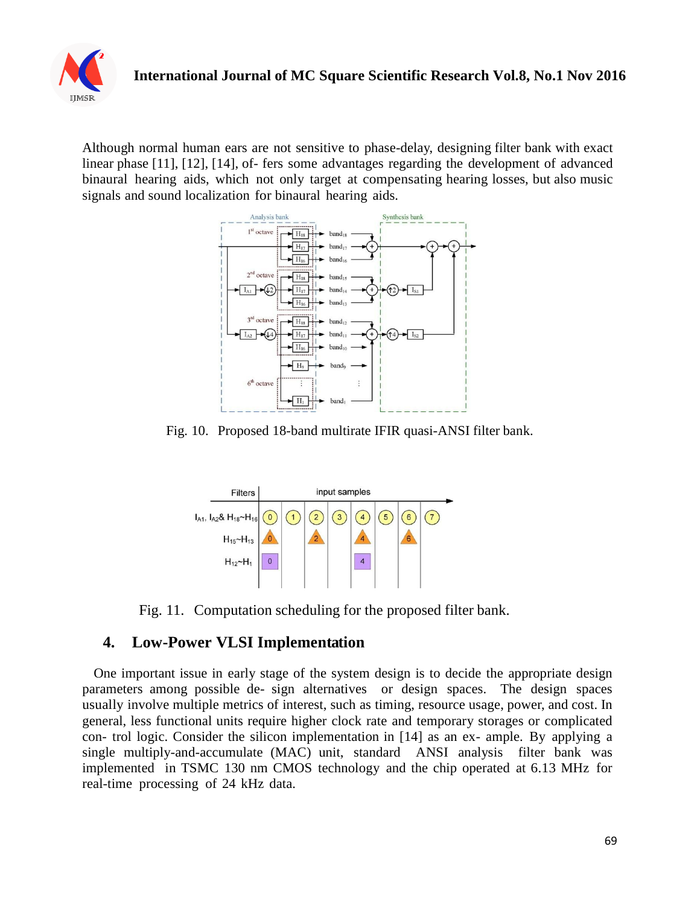

Although normal human ears are not sensitive to phase-delay, designing filter bank with exact linear phase [11], [12], [14], of- fers some advantages regarding the development of advanced binaural hearing aids, which not only target at compensating hearing losses, but also music signals and sound localization for binaural hearing aids.



Fig. 10. Proposed 18-band multirate IFIR quasi-ANSI filter bank.



Fig. 11. Computation scheduling for the proposed filter bank.

# **4. Low-Power VLSI Implementation**

One important issue in early stage of the system design is to decide the appropriate design parameters among possible de- sign alternatives or design spaces. The design spaces usually involve multiple metrics of interest, such as timing, resource usage, power, and cost. In general, less functional units require higher clock rate and temporary storages or complicated con- trol logic. Consider the silicon implementation in [14] as an ex- ample. By applying a single multiply-and-accumulate (MAC) unit, standard ANSI analysis filter bank was implemented in TSMC 130 nm CMOS technology and the chip operated at 6.13 MHz for real-time processing of 24 kHz data.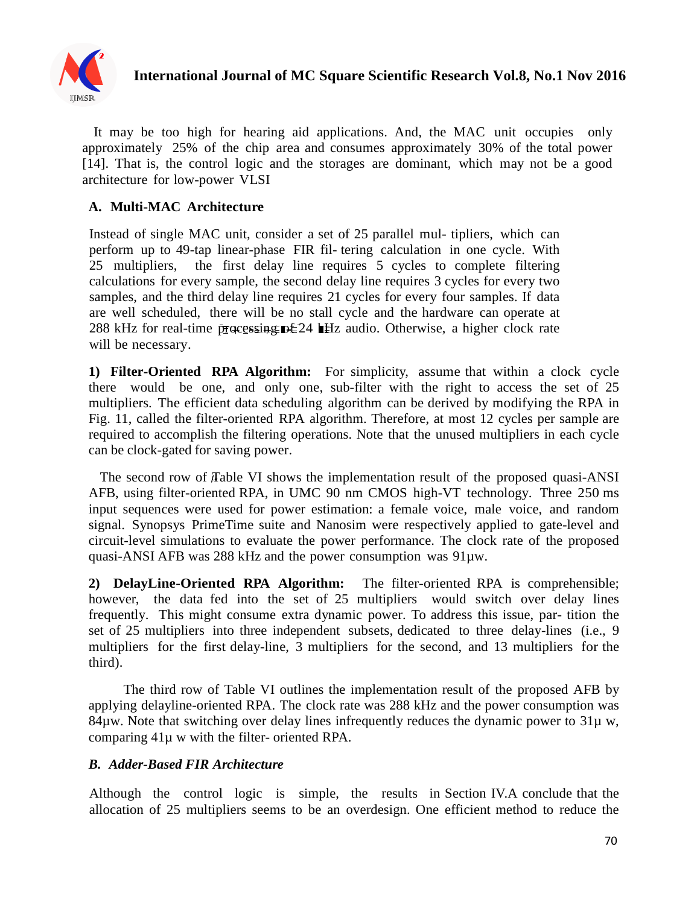

It may be too high for hearing aid applications. And, the MAC unit occupies only approximately 25% of the chip area and consumes approximately 30% of the total power [14]. That is, the control logic and the storages are dominant, which may not be a good architecture for low-power VLSI

#### **A. Multi-MAC Architecture**

Instead of single MAC unit, consider a set of 25 parallel mul- tipliers, which can perform up to 49-tap linear-phase FIR fil- tering calculation in one cycle. With 25 multipliers, the first delay line requires 5 cycles to complete filtering calculations for every sample, the second delay line requires 3 cycles for every two samples, and the third delay line requires 21 cycles for every four samples. If data are well scheduled, there will be no stall cycle and the hardware can operate at 288 kHz for real-time processing  $D \leq 24$  HHz audio. Otherwise, a higher clock rate will be necessary.

**1) Filter-Oriented RPA Algorithm:** For simplicity, assume that within a clock cycle there would be one, and only one, sub-filter with the right to access the set of 25 multipliers. The efficient data scheduling algorithm can be derived by modifying the RPA in Fig. 11, called the filter-oriented RPA algorithm. Therefore, at most 12 cycles per sample are required to accomplish the filtering operations. Note that the unused multipliers in each cycle can be clock-gated for saving power.

The second row of Table VI shows the implementation result of the proposed quasi-ANSI AFB, using filter-oriented RPA, in UMC 90 nm CMOS high-VT technology. Three 250 ms input sequences were used for power estimation: a female voice, male voice, and random signal. Synopsys PrimeTime suite and Nanosim were respectively applied to gate-level and circuit-level simulations to evaluate the power performance. The clock rate of the proposed quasi-ANSI AFB was 288 kHz and the power consumption was 91µw.

**2) DelayLine-Oriented RPA Algorithm:**The filter-oriented RPA is comprehensible; however, the data fed into the set of 25 multipliers would switch over delay lines frequently. This might consume extra dynamic power. To address this issue, par- tition the set of 25 multipliers into three independent subsets, dedicated to three delay-lines (i.e., 9 multipliers for the first delay-line, 3 multipliers for the second, and 13 multipliers for the third).

The third row of Table VI outlines the implementation result of the proposed AFB by applying delayline-oriented RPA. The clock rate was 288 kHz and the power consumption was 84µw. Note that switching over delay lines infrequently reduces the dynamic power to  $31\mu$  w, comparing 41µ w with the filter- oriented RPA.

#### *B. Adder-Based FIR Architecture*

Although the control logic is simple, the results in Section IV.A conclude that the allocation of 25 multipliers seems to be an overdesign. One efficient method to reduce the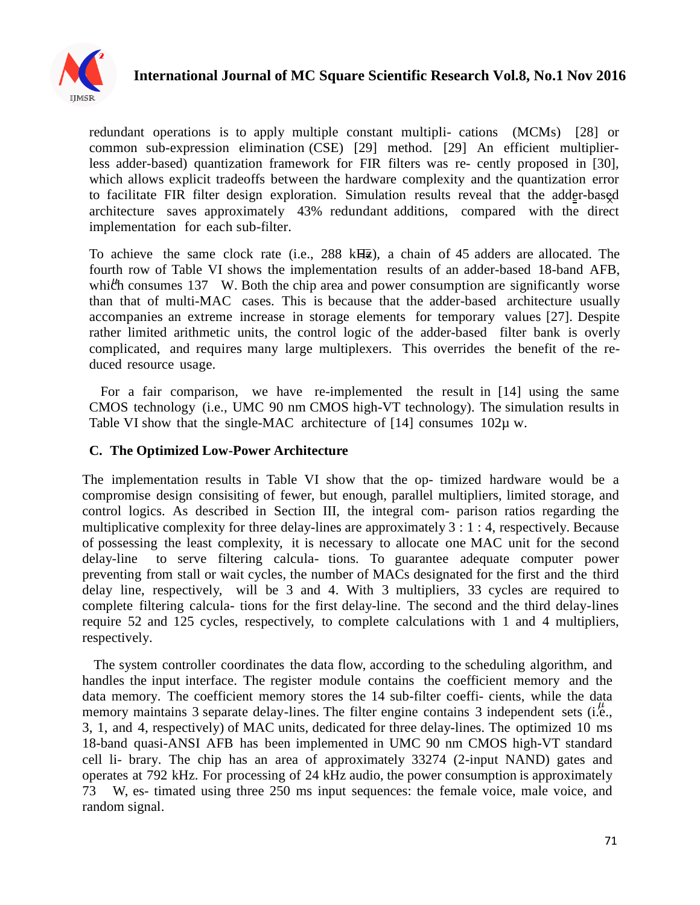

redundant operations is to apply multiple constant multipli- cations (MCMs) [28] or common sub-expression elimination (CSE) [29] method. [29] An efficient multiplierless adder-based) quantization framework for FIR filters was re- cently proposed in [30], which allows explicit tradeoffs between the hardware complexity and the quantization error to facilitate FIR filter design exploration. Simulation results reveal that the adder-based architecture saves approximately 43% redundant additions, compared with the direct implementation for each sub-filter.

To achieve the same clock rate (i.e., 288 kHz), a chain of 45 adders are allocated. The fourth row of Table VI shows the implementation results of an adder-based 18-band AFB, which consumes 137 W. Both the chip area and power consumption are significantly worse than that of multi-MAC cases. This is because that the adder-based architecture usually accompanies an extreme increase in storage elements for temporary values [27]. Despite rather limited arithmetic units, the control logic of the adder-based filter bank is overly complicated, and requires many large multiplexers. This overrides the benefit of the reduced resource usage.

For a fair comparison, we have re-implemented the result in [14] using the same CMOS technology (i.e., UMC 90 nm CMOS high-VT technology). The simulation results in Table VI show that the single-MAC architecture of  $[14]$  consumes  $102\mu$  w.

## **C. The Optimized Low-Power Architecture**

The implementation results in Table VI show that the op- timized hardware would be a compromise design consisiting of fewer, but enough, parallel multipliers, limited storage, and control logics. As described in Section III, the integral com- parison ratios regarding the multiplicative complexity for three delay-lines are approximately 3 : 1 : 4, respectively. Because of possessing the least complexity, it is necessary to allocate one MAC unit for the second delay-line to serve filtering calcula- tions. To guarantee adequate computer power preventing from stall or wait cycles, the number of MACs designated for the first and the third delay line, respectively, will be 3 and 4. With 3 multipliers, 33 cycles are required to complete filtering calcula- tions for the first delay-line. The second and the third delay-lines require 52 and 125 cycles, respectively, to complete calculations with 1 and 4 multipliers, respectively.

The system controller coordinates the data flow, according to the scheduling algorithm, and handles the input interface. The register module contains the coefficient memory and the data memory. The coefficient memory stores the 14 sub-filter coeffi- cients, while the data memory maintains 3 separate delay-lines. The filter engine contains 3 independent sets (i.e., 3, 1, and 4, respectively) of MAC units, dedicated for three delay-lines. The optimized 10 ms 18-band quasi-ANSI AFB has been implemented in UMC 90 nm CMOS high-VT standard cell li- brary. The chip has an area of approximately 33274 (2-input NAND) gates and operates at 792 kHz. For processing of 24 kHz audio, the power consumption is approximately 73 W, es- timated using three 250 ms input sequences: the female voice, male voice, and random signal.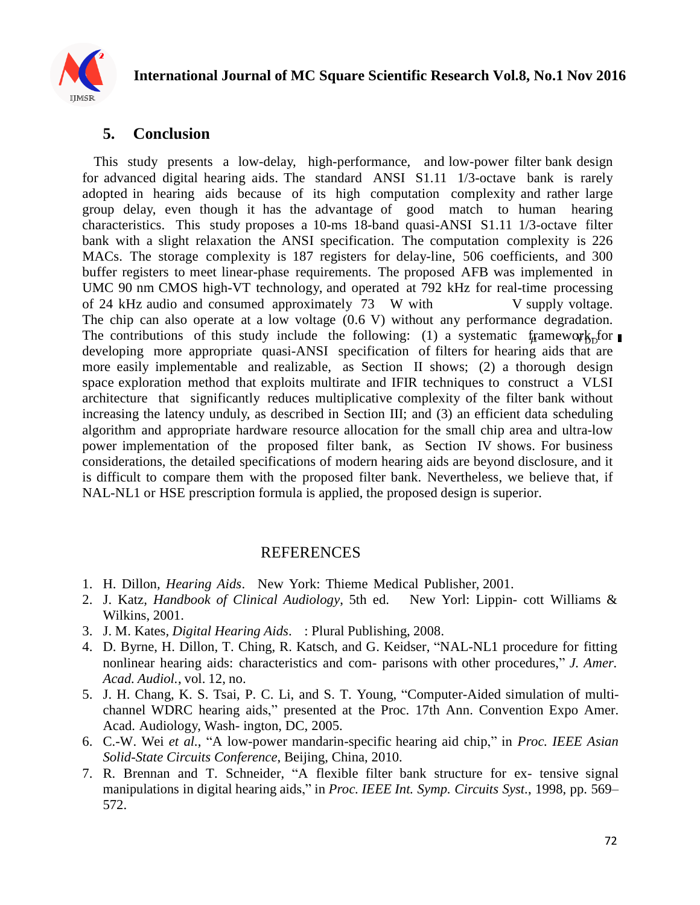

# **5. Conclusion**

This study presents a low-delay, high-performance, and low-power filter bank design for advanced digital hearing aids. The standard ANSI S1.11 1/3-octave bank is rarely adopted in hearing aids because of its high computation complexity and rather large group delay, even though it has the advantage of good match to human hearing characteristics. This study proposes a 10-ms 18-band quasi-ANSI S1.11 1/3-octave filter bank with a slight relaxation the ANSI specification. The computation complexity is 226 MACs. The storage complexity is 187 registers for delay-line, 506 coefficients, and 300 buffer registers to meet linear-phase requirements. The proposed AFB was implemented in UMC 90 nm CMOS high-VT technology, and operated at 792 kHz for real-time processing of 24 kHz audio and consumed approximately 73 W with V supply voltage. The chip can also operate at a low voltage  $(0.6 V)$  without any performance degradation. The contributions of this study include the following: (1) a systematic framework for developing more appropriate quasi-ANSI specification of filters for hearing aids that are more easily implementable and realizable, as Section II shows; (2) a thorough design space exploration method that exploits multirate and IFIR techniques to construct a VLSI architecture that significantly reduces multiplicative complexity of the filter bank without increasing the latency unduly, as described in Section III; and (3) an efficient data scheduling algorithm and appropriate hardware resource allocation for the small chip area and ultra-low power implementation of the proposed filter bank, as Section IV shows. For business considerations, the detailed specifications of modern hearing aids are beyond disclosure, and it is difficult to compare them with the proposed filter bank. Nevertheless, we believe that, if NAL-NL1 or HSE prescription formula is applied, the proposed design is superior.

# REFERENCES

- 1. H. Dillon*, Hearing Aids*. New York: Thieme Medical Publisher, 2001.
- 2. J. Katz*, Handbook of Clinical Audiology*, 5th ed. New Yorl: Lippin- cott Williams & Wilkins, 2001.
- 3. J. M. Kates*, Digital Hearing Aids*. : Plural Publishing, 2008.
- 4. D. Byrne, H. Dillon, T. Ching, R. Katsch, and G. Keidser, "NAL-NL1 procedure for fitting nonlinear hearing aids: characteristics and com- parisons with other procedures," *J. Amer. Acad. Audiol.*, vol. 12, no.
- 5. J. H. Chang, K. S. Tsai, P. C. Li, and S. T. Young, "Computer-Aided simulation of multichannel WDRC hearing aids," presented at the Proc. 17th Ann. Convention Expo Amer. Acad. Audiology, Wash- ington, DC, 2005.
- 6. C.-W. Wei *et al.*, ―A low-power mandarin-specific hearing aid chip,‖ in *Proc. IEEE Asian Solid-State Circuits Conference*, Beijing, China, 2010.
- 7. R. Brennan and T. Schneider, "A flexible filter bank structure for ex- tensive signal manipulations in digital hearing aids," in *Proc. IEEE Int. Symp. Circuits Syst.*, 1998, pp. 569– 572.